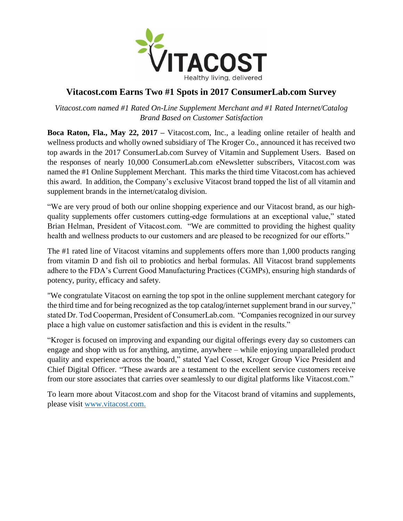

## **Vitacost.com Earns Two #1 Spots in 2017 ConsumerLab.com Survey**

*Vitacost.com named #1 Rated On-Line Supplement Merchant and #1 Rated Internet/Catalog Brand Based on Customer Satisfaction* 

**Boca Raton, Fla., May 22, 2017 –** Vitacost.com, Inc., a leading online retailer of health and wellness products and wholly owned subsidiary of The Kroger Co., announced it has received two top awards in the 2017 ConsumerLab.com Survey of Vitamin and Supplement Users. Based on the responses of nearly 10,000 ConsumerLab.com eNewsletter subscribers, Vitacost.com was named the #1 Online Supplement Merchant. This marks the third time Vitacost.com has achieved this award. In addition, the Company's exclusive Vitacost brand topped the list of all vitamin and supplement brands in the internet/catalog division.

"We are very proud of both our online shopping experience and our Vitacost brand, as our highquality supplements offer customers cutting-edge formulations at an exceptional value," stated Brian Helman, President of Vitacost.com. "We are committed to providing the highest quality health and wellness products to our customers and are pleased to be recognized for our efforts."

The #1 rated line of Vitacost vitamins and supplements offers more than 1,000 products ranging from vitamin D and fish oil to probiotics and herbal formulas. All Vitacost brand supplements adhere to the FDA's Current Good Manufacturing Practices (CGMPs), ensuring high standards of potency, purity, efficacy and safety.

"We congratulate Vitacost on earning the top spot in the online supplement merchant category for the third time and for being recognized as the top catalog/internet supplement brand in our survey," stated Dr. Tod Cooperman, President of ConsumerLab.com. "Companies recognized in our survey place a high value on customer satisfaction and this is evident in the results."

"Kroger is focused on improving and expanding our digital offerings every day so customers can engage and shop with us for anything, anytime, anywhere – while enjoying unparalleled product quality and experience across the board," stated Yael Cosset, Kroger Group Vice President and Chief Digital Officer. "These awards are a testament to the excellent service customers receive from our store associates that carries over seamlessly to our digital platforms like Vitacost.com."

To learn more about Vitacost.com and shop for the Vitacost brand of vitamins and supplements, please visit [www.vitacost.com.](http://www.vitacost.com/)